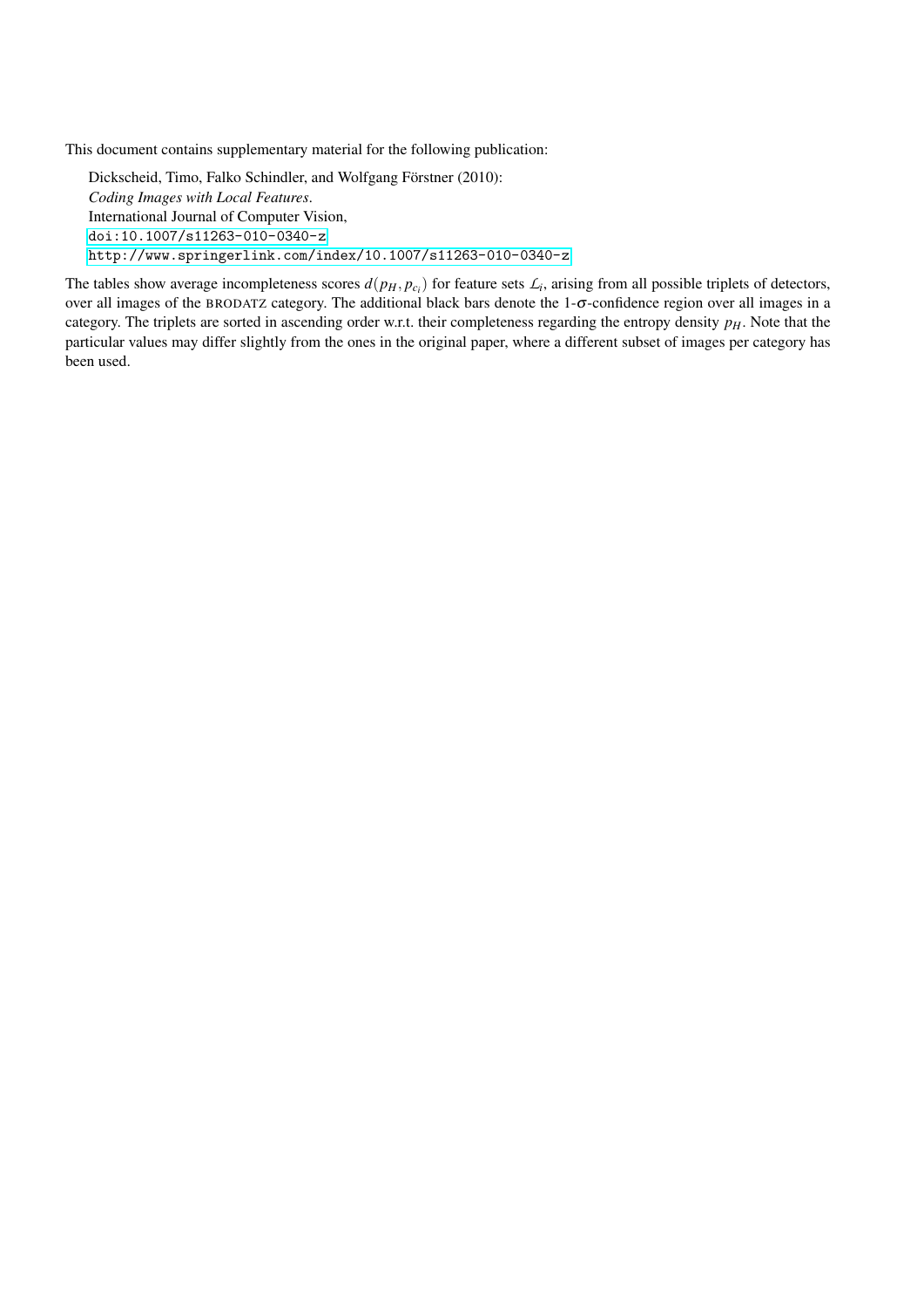This document contains supplementary material for the following publication:

Dickscheid, Timo, Falko Schindler, and Wolfgang Förstner (2010): *Coding Images with Local Features*. International Journal of Computer Vision, <doi:10.1007/s11263-010-0340-z> <http://www.springerlink.com/index/10.1007/s11263-010-0340-z>

The tables show average incompleteness scores  $d(p_H, p_{c_i})$  for feature sets  $\mathcal{L}_i$ , arising from all possible triplets of detectors, over all images of the BRODATZ category. The additional black bars denote the 1-σ-confidence region over all images in a category. The triplets are sorted in ascending order w.r.t. their completeness regarding the entropy density *pH*. Note that the particular values may differ slightly from the ones in the original paper, where a different subset of images per category has been used.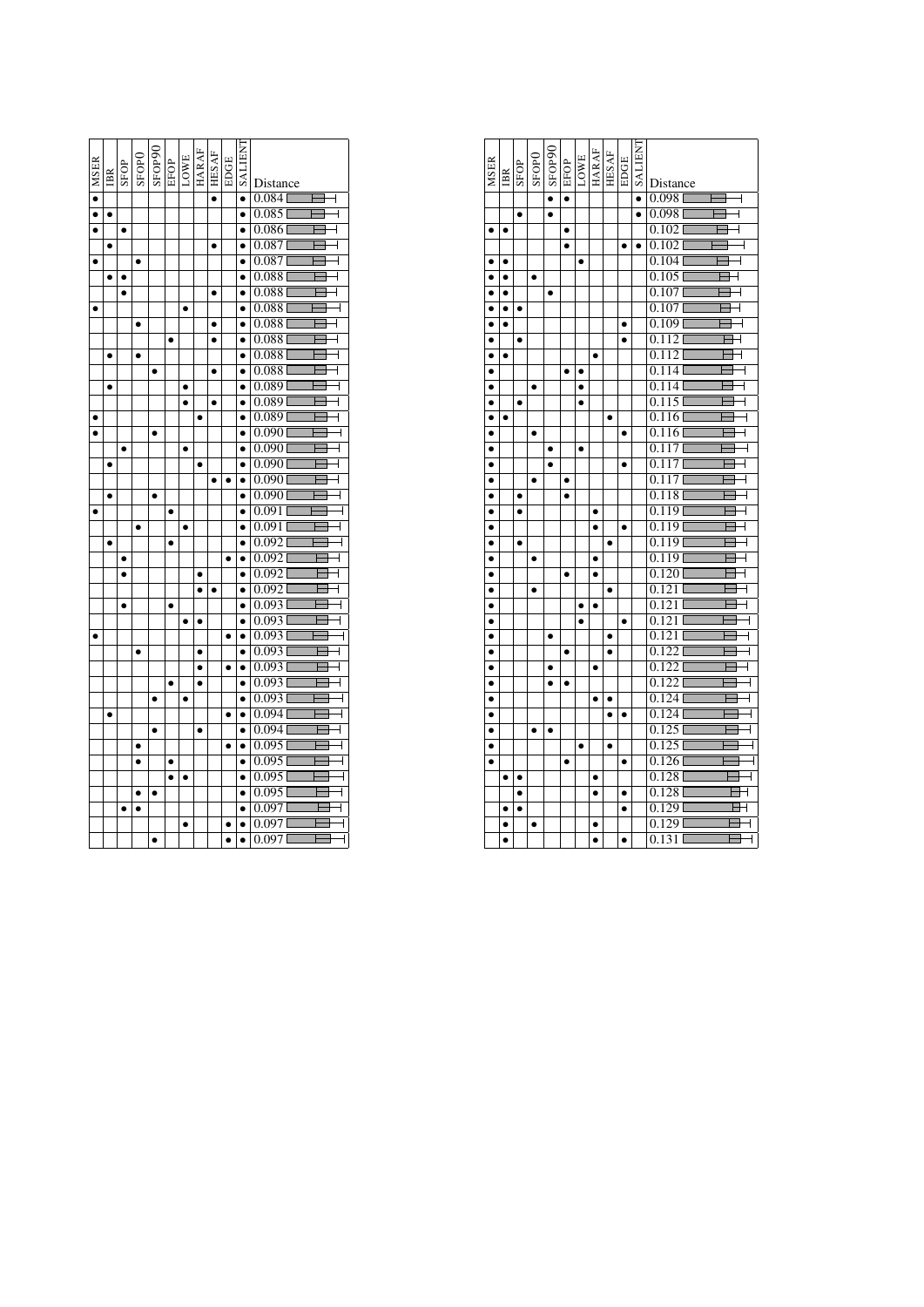| <b>MSER</b>          | IBR       | SFOP      | SFOP <sub>0</sub> | SFOP90    | EFOP<br>LOWE<br>HARAF |           |           | <b>HESAF</b> | EDGE      | <b>TNHITKS</b> | Distance                                         |
|----------------------|-----------|-----------|-------------------|-----------|-----------------------|-----------|-----------|--------------|-----------|----------------|--------------------------------------------------|
| $\overline{\bullet}$ |           |           |                   |           |                       |           |           | $\bullet$    |           | $\bullet$      | $0.084$ <sup>[</sup><br>$\overline{\phantom{a}}$ |
| $\overline{\bullet}$ |           |           |                   |           |                       |           |           |              |           | $\bullet$      | $0.085$ <sup>[</sup><br>$\overline{1}$           |
|                      |           | $\bullet$ |                   |           |                       |           |           |              |           |                | 0.086<br>┫                                       |
|                      |           |           |                   |           |                       |           |           | ٠            |           |                | 0.087                                            |
| $\bullet$            |           |           | $\bullet$         |           |                       |           |           |              |           |                | 0.087                                            |
|                      | $\bullet$ | $\bullet$ |                   |           |                       |           |           |              |           | $\bullet$      | 0.088<br>┫                                       |
|                      |           | $\bullet$ |                   |           |                       |           |           | $\bullet$    |           | $\bullet$      | 0.088                                            |
|                      |           |           |                   |           |                       |           |           |              |           |                | 0.088<br>4                                       |
|                      |           |           | $\bullet$         |           |                       |           |           | $\bullet$    |           | $\bullet$      | 0.088                                            |
|                      |           |           |                   |           | $\bullet$             |           |           | ٠            |           | $\bullet$      | 0.088                                            |
|                      |           |           |                   |           |                       |           |           |              |           |                | 0.088                                            |
|                      |           |           |                   | $\bullet$ |                       |           |           | ٠            |           |                | 0.088                                            |
|                      | ٠         |           |                   |           |                       |           |           |              |           |                | 0.089                                            |
|                      |           |           |                   |           |                       |           |           | $\bullet$    |           |                | 0.089                                            |
|                      |           |           |                   |           |                       |           | $\bullet$ |              |           | $\bullet$      | 0.0891                                           |
|                      |           |           |                   |           |                       |           |           |              |           |                | 0.090                                            |
|                      |           | $\bullet$ |                   |           |                       | ٠         |           |              |           | $\bullet$      | 0.090                                            |
|                      |           |           |                   |           |                       |           |           |              |           | $\bullet$      | 0.090                                            |
|                      |           |           |                   |           |                       |           |           |              |           |                | 0.090                                            |
|                      | $\bullet$ |           |                   | $\bullet$ |                       |           |           |              |           | $\bullet$      | 0.0901                                           |
| ٠                    |           |           |                   |           | $\bullet$             |           |           |              |           | $\bullet$      | 0.091                                            |
|                      |           |           |                   |           |                       |           |           |              |           |                | 0.091                                            |
|                      | $\bullet$ |           |                   |           | $\bullet$             |           |           |              |           |                | 0.092                                            |
|                      |           | $\bullet$ |                   |           |                       |           |           |              |           |                | 0.092                                            |
|                      |           |           |                   |           |                       |           |           |              |           | $\bullet$      | 0.092                                            |
|                      |           |           |                   |           |                       |           | ٠         | ٠            |           | $\bullet$      | 0.092                                            |
|                      |           | $\bullet$ |                   |           | $\bullet$             |           |           |              |           | $\bullet$      | 0.093                                            |
|                      |           |           |                   |           |                       |           |           |              |           |                | 0.093                                            |
| $\bullet$            |           |           |                   |           |                       |           |           |              |           | $\bullet$      | 0.093                                            |
|                      |           |           |                   |           |                       |           |           |              |           |                | 0.093                                            |
|                      |           |           |                   |           |                       |           | ٠         |              | $\bullet$ |                | 0.093                                            |
|                      |           |           |                   |           | $\bullet$             |           | $\bullet$ |              |           | $\bullet$      | 0.093                                            |
|                      |           |           |                   |           |                       |           |           |              |           |                | 0.093                                            |
|                      | $\bullet$ |           |                   |           |                       |           |           |              | $\bullet$ |                | 0.0941                                           |
|                      |           |           |                   |           |                       |           | $\bullet$ |              |           | $\bullet$      | 0.094                                            |
|                      |           |           |                   |           |                       |           |           |              |           |                | 0.095                                            |
|                      |           |           | ٠                 |           |                       |           |           |              |           |                | 0.095<br>┫                                       |
|                      |           |           |                   |           |                       |           |           |              |           |                | 0.095                                            |
|                      |           |           |                   |           |                       |           |           |              |           |                | 0.095                                            |
|                      |           | ٠         |                   |           |                       |           |           |              |           |                | 0.0971                                           |
|                      |           |           |                   |           |                       | $\bullet$ |           |              |           |                | 0.097<br>┫                                       |
|                      |           |           |                   |           |                       |           |           |              |           | $\bullet$      | 0.097                                            |

|             |           |           |                   | SFOP90    |           |           | <b>HARAF</b> | HESAF     |           | <b>TNELIAS</b> |                           |
|-------------|-----------|-----------|-------------------|-----------|-----------|-----------|--------------|-----------|-----------|----------------|---------------------------|
| <b>MSER</b> | IBR       | SFOP      | SFOP <sub>0</sub> |           | EFOP      | LOWE      |              |           | EDGE      |                |                           |
|             |           |           |                   |           |           |           |              |           |           |                | Distance                  |
|             |           |           |                   |           | $\bullet$ |           |              |           |           | $\bullet$      | 0.098<br>┫                |
|             |           | $\bullet$ |                   | $\bullet$ |           |           |              |           |           | $\bullet$      | $0.098$ <sup>[</sup>      |
| $\bullet$   | $\bullet$ |           |                   |           | $\bullet$ |           |              |           |           |                | $0.102$ <sup>[</sup><br>┦ |
|             |           |           |                   |           | $\bullet$ |           |              |           | $\bullet$ | $\bullet$      | 0.102                     |
|             | $\bullet$ |           |                   |           |           | $\bullet$ |              |           |           |                | 0.1041                    |
|             |           |           |                   |           |           |           |              |           |           |                | 0.105                     |
|             | $\bullet$ |           |                   | $\bullet$ |           |           |              |           |           |                | $0.107$ <sup>[</sup>      |
|             |           | ٠         |                   |           |           |           |              |           |           |                | 0.107                     |
|             | $\bullet$ |           |                   |           |           |           |              |           | $\bullet$ |                | 0.109                     |
| $\bullet$   |           | $\bullet$ |                   |           |           |           |              |           | $\bullet$ |                | 0.112                     |
| $\bullet$   | $\bullet$ |           |                   |           |           |           | $\bullet$    |           |           |                | 0.112                     |
|             |           |           |                   |           |           |           |              |           |           |                | 0.114                     |
| $\bullet$   |           |           | $\bullet$         |           |           | $\bullet$ |              |           |           |                | 0.114                     |
| $\bullet$   |           | $\bullet$ |                   |           |           | $\bullet$ |              |           |           |                | 0.115                     |
|             |           |           |                   |           |           |           |              |           |           |                | 0.116                     |
| $\bullet$   | $\bullet$ |           |                   |           |           |           |              | ٠         |           |                | 0.116                     |
| $\bullet$   |           |           | $\bullet$         |           |           |           |              |           | $\bullet$ |                | 0.117                     |
|             |           |           |                   |           |           | $\bullet$ |              |           |           |                | 0.117                     |
|             |           |           |                   | $\bullet$ |           |           |              |           | $\bullet$ |                |                           |
| $\bullet$   |           |           | $\bullet$         |           | $\bullet$ |           |              |           |           |                | 0.117                     |
|             |           | ٠         |                   |           |           |           |              |           |           |                | 0.118                     |
|             |           | $\bullet$ |                   |           |           |           | $\bullet$    |           |           |                | 0.1191                    |
|             |           |           |                   |           |           |           | ٠            |           | $\bullet$ |                | 0.119                     |
| $\bullet$   |           | $\bullet$ |                   |           |           |           |              | $\bullet$ |           |                | 0.119                     |
| $\bullet$   |           |           | $\bullet$         |           |           |           | $\bullet$    |           |           |                | 0.1191                    |
| $\bullet$   |           |           |                   |           |           |           |              |           |           |                | 0.120                     |
|             |           |           | $\bullet$         |           |           |           |              |           |           |                | 0.121                     |
| $\bullet$   |           |           |                   |           |           |           | $\bullet$    |           |           |                | 0.121                     |
| $\bullet$   |           |           |                   |           |           |           |              |           | $\bullet$ |                | 0.121                     |
| $\bullet$   |           |           |                   | $\bullet$ |           |           |              | $\bullet$ |           |                | 0.121                     |
| $\bullet$   |           |           |                   |           |           |           |              | $\bullet$ |           |                | 0.122                     |
|             |           |           |                   |           |           |           | $\bullet$    |           |           |                | 0.122                     |
| $\bullet$   |           |           |                   | $\bullet$ | ٠         |           |              |           |           |                | 0.122                     |
| $\bullet$   |           |           |                   |           |           |           |              |           |           |                | 0.124                     |
|             |           |           |                   |           |           |           |              |           |           |                | 0.124                     |
|             |           |           | $\bullet$         | $\bullet$ |           |           |              |           |           |                | 0.125                     |
| $\bullet$   |           |           |                   |           |           | $\bullet$ |              | $\bullet$ |           |                | 0.125                     |
| $\bullet$   |           |           |                   |           | $\bullet$ |           |              |           | $\bullet$ |                | 0.126                     |
|             | Ō         | $\bullet$ |                   |           |           |           | $\bullet$    |           |           |                | 0.128                     |
|             |           |           |                   |           |           |           |              |           | $\bullet$ |                | 0.128                     |
|             |           |           |                   |           |           |           |              |           |           |                | 0.1291                    |
|             |           |           | ٠                 |           |           |           |              |           |           |                | 0.1291                    |
|             |           |           |                   |           |           |           |              |           |           |                | 0.131<br>I                |
|             |           |           |                   |           |           |           |              |           |           |                |                           |